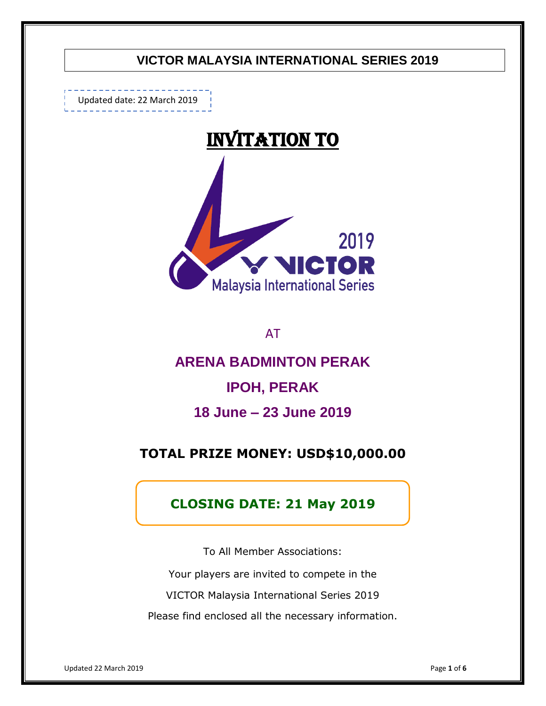Updated date: 22 March 2019



AT

# **ARENA BADMINTON PERAK**

# **IPOH, PERAK**

# **18 June – 23 June 2019**

# **TOTAL PRIZE MONEY: USD\$10,000.00**

# **CLOSING DATE: 21 May 2019**

To All Member Associations: Your players are invited to compete in the VICTOR Malaysia International Series 2019 Please find enclosed all the necessary information.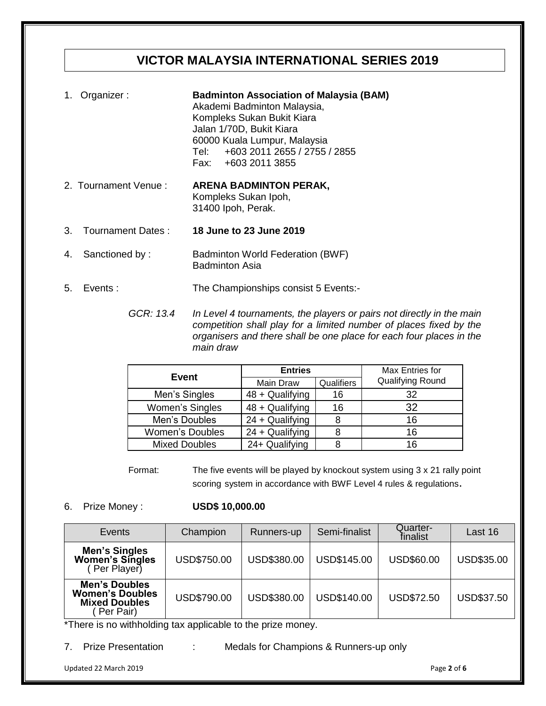|    | Organizer:           | <b>Badminton Association of Malaysia (BAM)</b><br>Akademi Badminton Malaysia,<br>Kompleks Sukan Bukit Kiara<br>Jalan 1/70D, Bukit Kiara<br>60000 Kuala Lumpur, Malaysia<br>+603 2011 2655 / 2755 / 2855<br>Tel: l<br>+603 2011 3855<br>Fax: |
|----|----------------------|---------------------------------------------------------------------------------------------------------------------------------------------------------------------------------------------------------------------------------------------|
|    | 2. Tournament Venue: | <b>ARENA BADMINTON PERAK,</b><br>Kompleks Sukan Ipoh,<br>31400 Ipoh, Perak.                                                                                                                                                                 |
| 3. | Tournament Dates:    | 18 June to 23 June 2019                                                                                                                                                                                                                     |
| 4. | Sanctioned by:       | Badminton World Federation (BWF)<br>Badminton Asia                                                                                                                                                                                          |
| 5. | Events :             | The Championships consist 5 Events:-                                                                                                                                                                                                        |

*GCR: 13.4 In Level 4 tournaments, the players or pairs not directly in the main competition shall play for a limited number of places fixed by the organisers and there shall be one place for each four places in the main draw*

| Event                  | <b>Entries</b>    |            | Max Entries for  |  |
|------------------------|-------------------|------------|------------------|--|
|                        | Main Draw         | Qualifiers | Qualifying Round |  |
| Men's Singles          | $48 +$ Qualifying | 16         | 32               |  |
| Women's Singles        | $48 +$ Qualifying | 16         | 32               |  |
| Men's Doubles          | 24 + Qualifying   |            | 16               |  |
| <b>Women's Doubles</b> | $24 +$ Qualifying |            | 16               |  |
| <b>Mixed Doubles</b>   | 24+ Qualifying    |            | 16               |  |

Format: The five events will be played by knockout system using 3 x 21 rally point scoring system in accordance with BWF Level 4 rules & regulations.

## 6. Prize Money : **USD\$ 10,000.00**

| <b>Events</b>                                                                       | Champion    | Runners-up  | Semi-finalist | Quarter-<br>finalist | Last 16    |
|-------------------------------------------------------------------------------------|-------------|-------------|---------------|----------------------|------------|
| Men's Singles<br>Women's Singles<br>Per Player)                                     | USD\$750.00 | USD\$380.00 | USD\$145.00   | USD\$60.00           | USD\$35.00 |
| <b>Men's Doubles</b><br><b>Women's Doubles</b><br><b>Mixed Doubles</b><br>Per Pair) | USD\$790.00 | USD\$380.00 | USD\$140.00   | <b>USD\$72.50</b>    | USD\$37.50 |

\*There is no withholding tax applicable to the prize money.

- 
- 7. Prize Presentation : Medals for Champions & Runners-up only

Updated 22 March 2019 Page **2** of **6**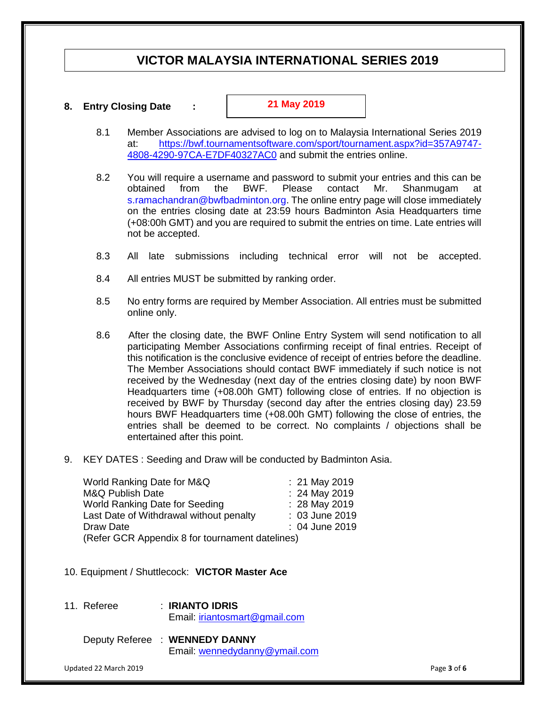### **8. Entry Closing Date :**

**21 May 2019**

- 8.1 Member Associations are advised to log on to Malaysia International Series 2019 at: [https://bwf.tournamentsoftware.com/sport/tournament.aspx?id=357A9747-](https://bwf.tournamentsoftware.com/sport/tournament.aspx?id=357A9747-4808-4290-97CA-E7DF40327AC0) [4808-4290-97CA-E7DF40327AC0](https://bwf.tournamentsoftware.com/sport/tournament.aspx?id=357A9747-4808-4290-97CA-E7DF40327AC0) and submit the entries online.
- 8.2 You will require a username and password to submit your entries and this can be obtained from the BWF. Please contact Mr. Shanmugam at s.ramachandran@bwfbadminton.org. The online entry page will close immediately on the entries closing date at 23:59 hours Badminton Asia Headquarters time (+08:00h GMT) and you are required to submit the entries on time. Late entries will not be accepted.
- 8.3 All late submissions including technical error will not be accepted.
- 8.4 All entries MUST be submitted by ranking order.
- 8.5 No entry forms are required by Member Association. All entries must be submitted online only.
- 8.6 After the closing date, the BWF Online Entry System will send notification to all participating Member Associations confirming receipt of final entries. Receipt of this notification is the conclusive evidence of receipt of entries before the deadline. The Member Associations should contact BWF immediately if such notice is not received by the Wednesday (next day of the entries closing date) by noon BWF Headquarters time (+08.00h GMT) following close of entries. If no objection is received by BWF by Thursday (second day after the entries closing day) 23.59 hours BWF Headquarters time (+08.00h GMT) following the close of entries, the entries shall be deemed to be correct. No complaints / objections shall be entertained after this point.
- 9. KEY DATES : Seeding and Draw will be conducted by Badminton Asia.

| World Ranking Date for M&Q                      | $: 21$ May 2019 |  |
|-------------------------------------------------|-----------------|--|
| M&Q Publish Date                                | : 24 May 2019   |  |
| World Ranking Date for Seeding                  | : 28 May 2019   |  |
| Last Date of Withdrawal without penalty         | : 03 June 2019  |  |
| Draw Date                                       | : 04 June 2019  |  |
| (Refer GCR Appendix 8 for tournament datelines) |                 |  |

- 10. Equipment / Shuttlecock: **VICTOR Master Ace**
- 11. Referee : **IRIANTO IDRIS** Email: [iriantosmart@gmail.com](mailto:iriantosmart@gmail.com)
	- Deputy Referee : **WENNEDY DANNY** Email: [wennedydanny@ymail.com](mailto:wennedydanny@ymail.com)

Updated 22 March 2019 **Page 3** of **6** and **2019** Page 3 of **6**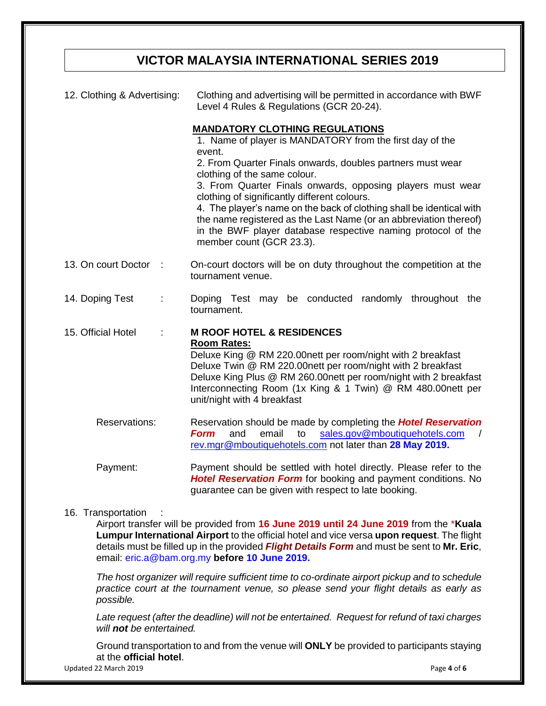| 12. Clothing & Advertising: | Clothing and advertising will be permitted in accordance with BWF<br>Level 4 Rules & Regulations (GCR 20-24).                                                                                                                                                                                                                                                                                                                                                                                                                                                    |  |  |  |
|-----------------------------|------------------------------------------------------------------------------------------------------------------------------------------------------------------------------------------------------------------------------------------------------------------------------------------------------------------------------------------------------------------------------------------------------------------------------------------------------------------------------------------------------------------------------------------------------------------|--|--|--|
|                             | <b>MANDATORY CLOTHING REGULATIONS</b><br>1. Name of player is MANDATORY from the first day of the<br>event.<br>2. From Quarter Finals onwards, doubles partners must wear<br>clothing of the same colour.<br>3. From Quarter Finals onwards, opposing players must wear<br>clothing of significantly different colours.<br>4. The player's name on the back of clothing shall be identical with<br>the name registered as the Last Name (or an abbreviation thereof)<br>in the BWF player database respective naming protocol of the<br>member count (GCR 23.3). |  |  |  |
| 13. On court Doctor         | On-court doctors will be on duty throughout the competition at the<br>tournament venue.                                                                                                                                                                                                                                                                                                                                                                                                                                                                          |  |  |  |
| 14. Doping Test             | Doping Test may be conducted randomly throughout the<br>tournament.                                                                                                                                                                                                                                                                                                                                                                                                                                                                                              |  |  |  |
| 15. Official Hotel          | <b>M ROOF HOTEL &amp; RESIDENCES</b><br><b>Room Rates:</b><br>Deluxe King @ RM 220.00nett per room/night with 2 breakfast<br>Deluxe Twin @ RM 220.00nett per room/night with 2 breakfast<br>Deluxe King Plus @ RM 260.00nett per room/night with 2 breakfast<br>Interconnecting Room (1x King & 1 Twin) @ RM 480.00nett per<br>unit/night with 4 breakfast                                                                                                                                                                                                       |  |  |  |
| <b>Reservations:</b>        | Reservation should be made by completing the <b>Hotel Reservation</b><br>sales.gov@mboutiquehotels.com<br>email<br>to<br><b>Form</b><br>and<br>$\prime$<br>rev.mgr@mboutiquehotels.com not later than 28 May 2019.                                                                                                                                                                                                                                                                                                                                               |  |  |  |
| Payment:                    | Payment should be settled with hotel directly. Please refer to the<br>Hotel Reservation Form for booking and payment conditions. No<br>guarantee can be given with respect to late booking.                                                                                                                                                                                                                                                                                                                                                                      |  |  |  |

## 16. Transportation :

Airport transfer will be provided from **16 June 2019 until 24 June 2019** from the \***Kuala Lumpur International Airport** to the official hotel and vice versa **upon request**. The flight details must be filled up in the provided *Flight Details Form* and must be sent to **Mr. Eric**, email: eric.a@bam.org.my **before 10 June 2019.**

*The host organizer will require sufficient time to co-ordinate airport pickup and to schedule practice court at the tournament venue, so please send your flight details as early as possible.*

*Late request (after the deadline) will not be entertained. Request for refund of taxi charges will not be entertained.* 

Updated 22 March 2019 Page **4** of **6** Ground transportation to and from the venue will **ONLY** be provided to participants staying at the **official hotel**.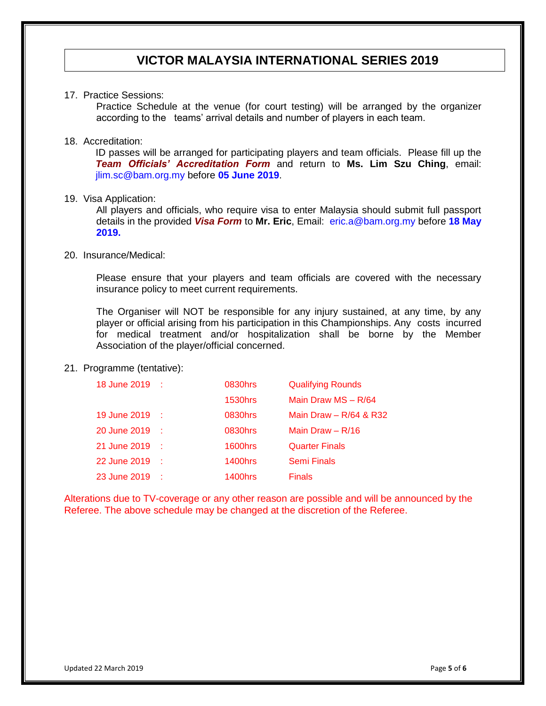#### 17. Practice Sessions:

Practice Schedule at the venue (for court testing) will be arranged by the organizer according to the teams' arrival details and number of players in each team.

#### 18. Accreditation:

ID passes will be arranged for participating players and team officials. Please fill up the *Team Officials' Accreditation Form* and return to **Ms. Lim Szu Ching**, email: jlim.sc@bam.org.my before **05 June 2019**.

#### 19. Visa Application:

All players and officials, who require visa to enter Malaysia should submit full passport details in the provided *Visa Form* to **Mr. Eric**, Email: eric.a@bam.org.my before **18 May 2019.**

### 20. Insurance/Medical:

Please ensure that your players and team officials are covered with the necessary insurance policy to meet current requirements.

The Organiser will NOT be responsible for any injury sustained, at any time, by any player or official arising from his participation in this Championships. Any costs incurred for medical treatment and/or hospitalization shall be borne by the Member Association of the player/official concerned.

### 21. Programme (tentative):

| 18 June 2019 : |            | 0830hrs        | <b>Qualifying Rounds</b> |
|----------------|------------|----------------|--------------------------|
|                |            | <b>1530hrs</b> | Main Draw MS - R/64      |
| 19 June 2019 : |            | 0830hrs        | Main Draw - R/64 & R32   |
| 20 June 2019   | <b>COM</b> | 0830hrs        | Main Draw $- R/16$       |
| 21 June 2019 : |            | 1600hrs        | <b>Quarter Finals</b>    |
| 22 June 2019   |            | <b>1400hrs</b> | <b>Semi Finals</b>       |
| 23 June 2019   |            | <b>1400hrs</b> | <b>Finals</b>            |

Alterations due to TV-coverage or any other reason are possible and will be announced by the Referee. The above schedule may be changed at the discretion of the Referee.